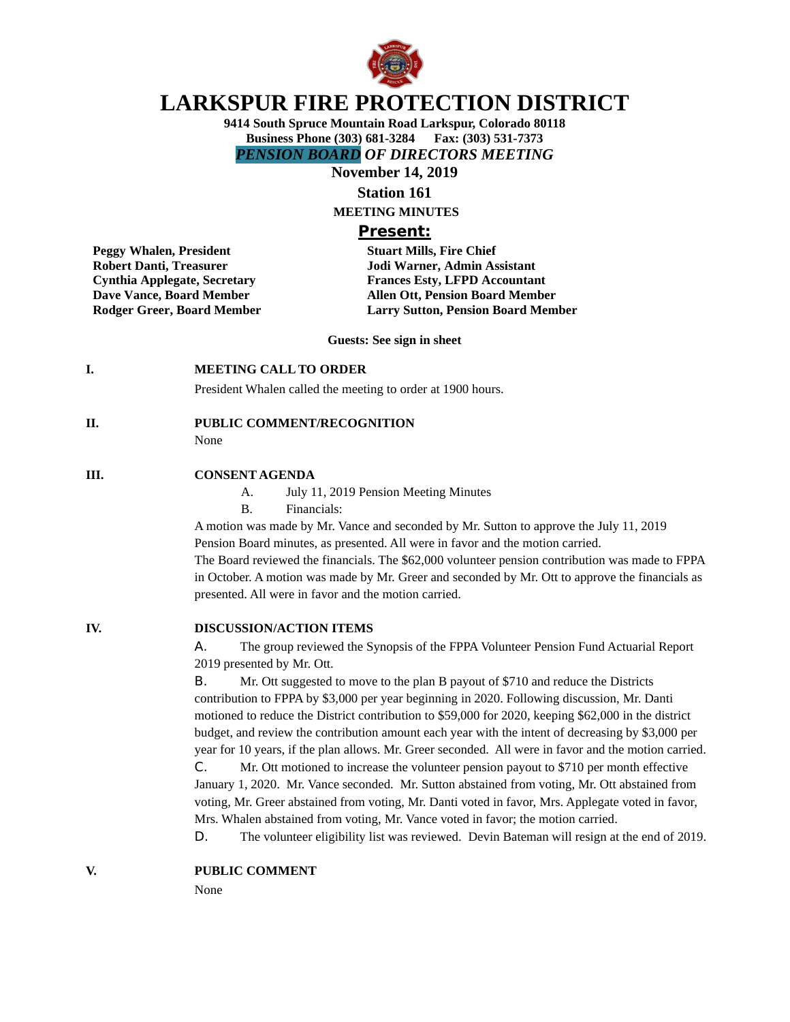

# **LARKSPUR FIRE PROTECTION DISTRICT**

**9414 South Spruce Mountain Road Larkspur, Colorado 80118 Business Phone (303) 681-3284 Fax: (303) 531-7373** *PENSION BOARD OF DIRECTORS MEETING*

**November 14, 2019**

# **Station 161**

**MEETING MINUTES**

### **Present:**

**Peggy Whalen, President Stuart Mills, Fire Chief** 

**Robert Danti, Treasurer Jodi Warner, Admin Assistant Cynthia Applegate, Secretary Frances Esty, LFPD Accountant Dave Vance, Board Member Allen Ott, Pension Board Member Rodger Greer, Board Member Larry Sutton, Pension Board Member** 

**Guests: See sign in sheet**

### **I. MEETING CALL TO ORDER**

President Whalen called the meeting to order at 1900 hours.

### **II. PUBLIC COMMENT/RECOGNITION**

None

### **III. CONSENT AGENDA**

- A. July 11, 2019 Pension Meeting Minutes
- B. Financials:

A motion was made by Mr. Vance and seconded by Mr. Sutton to approve the July 11, 2019 Pension Board minutes, as presented. All were in favor and the motion carried. The Board reviewed the financials. The \$62,000 volunteer pension contribution was made to FPPA in October. A motion was made by Mr. Greer and seconded by Mr. Ott to approve the financials as presented. All were in favor and the motion carried.

### **IV. DISCUSSION/ACTION ITEMS**

A. The group reviewed the Synopsis of the FPPA Volunteer Pension Fund Actuarial Report 2019 presented by Mr. Ott.

B. Mr. Ott suggested to move to the plan B payout of \$710 and reduce the Districts contribution to FPPA by \$3,000 per year beginning in 2020. Following discussion, Mr. Danti motioned to reduce the District contribution to \$59,000 for 2020, keeping \$62,000 in the district budget, and review the contribution amount each year with the intent of decreasing by \$3,000 per year for 10 years, if the plan allows. Mr. Greer seconded. All were in favor and the motion carried.

C. Mr. Ott motioned to increase the volunteer pension payout to \$710 per month effective January 1, 2020. Mr. Vance seconded. Mr. Sutton abstained from voting, Mr. Ott abstained from voting, Mr. Greer abstained from voting, Mr. Danti voted in favor, Mrs. Applegate voted in favor, Mrs. Whalen abstained from voting, Mr. Vance voted in favor; the motion carried.

D. The volunteer eligibility list was reviewed. Devin Bateman will resign at the end of 2019.

### **V. PUBLIC COMMENT**

None